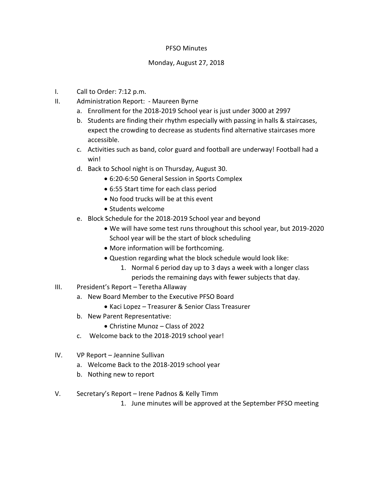## PFSO Minutes

## Monday, August 27, 2018

- I. Call to Order: 7:12 p.m.
- II. Administration Report: Maureen Byrne
	- a. Enrollment for the 2018-2019 School year is just under 3000 at 2997
	- b. Students are finding their rhythm especially with passing in halls & staircases, expect the crowding to decrease as students find alternative staircases more accessible.
	- c. Activities such as band, color guard and football are underway! Football had a win!
	- d. Back to School night is on Thursday, August 30.
		- 6:20-6:50 General Session in Sports Complex
		- 6:55 Start time for each class period
		- No food trucks will be at this event
		- Students welcome
	- e. Block Schedule for the 2018-2019 School year and beyond
		- We will have some test runs throughout this school year, but 2019-2020 School year will be the start of block scheduling
		- More information will be forthcoming.
		- Question regarding what the block schedule would look like:
			- 1. Normal 6 period day up to 3 days a week with a longer class periods the remaining days with fewer subjects that day.
- III. President's Report Teretha Allaway
	- a. New Board Member to the Executive PFSO Board
		- Kaci Lopez Treasurer & Senior Class Treasurer
	- b. New Parent Representative:
		- Christine Munoz Class of 2022
	- c. Welcome back to the 2018-2019 school year!
- IV. VP Report Jeannine Sullivan
	- a. Welcome Back to the 2018-2019 school year
	- b. Nothing new to report
- V. Secretary's Report Irene Padnos & Kelly Timm
	- 1. June minutes will be approved at the September PFSO meeting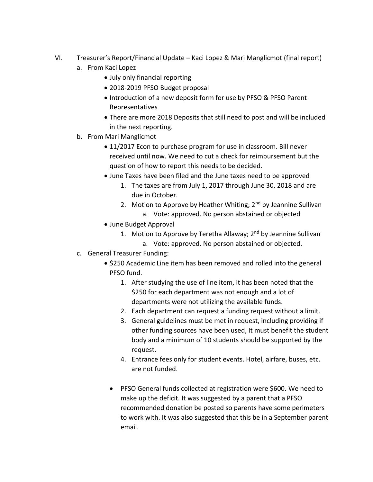- VI. Treasurer's Report/Financial Update Kaci Lopez & Mari Manglicmot (final report)
	- a. From Kaci Lopez
		- July only financial reporting
		- 2018-2019 PFSO Budget proposal
		- Introduction of a new deposit form for use by PFSO & PFSO Parent Representatives
		- There are more 2018 Deposits that still need to post and will be included in the next reporting.
	- b. From Mari Manglicmot
		- 11/2017 Econ to purchase program for use in classroom. Bill never received until now. We need to cut a check for reimbursement but the question of how to report this needs to be decided.
		- June Taxes have been filed and the June taxes need to be approved
			- 1. The taxes are from July 1, 2017 through June 30, 2018 and are due in October.
			- 2. Motion to Approve by Heather Whiting;  $2^{nd}$  by Jeannine Sullivan a. Vote: approved. No person abstained or objected
		- June Budget Approval
			- 1. Motion to Approve by Teretha Allaway; 2<sup>nd</sup> by Jeannine Sullivan a. Vote: approved. No person abstained or objected.
	- c. General Treasurer Funding:
		- \$250 Academic Line item has been removed and rolled into the general PFSO fund.
			- 1. After studying the use of line item, it has been noted that the \$250 for each department was not enough and a lot of departments were not utilizing the available funds.
			- 2. Each department can request a funding request without a limit.
			- 3. General guidelines must be met in request, including providing if other funding sources have been used, It must benefit the student body and a minimum of 10 students should be supported by the request.
			- 4. Entrance fees only for student events. Hotel, airfare, buses, etc. are not funded.
			- PFSO General funds collected at registration were \$600. We need to make up the deficit. It was suggested by a parent that a PFSO recommended donation be posted so parents have some perimeters to work with. It was also suggested that this be in a September parent email.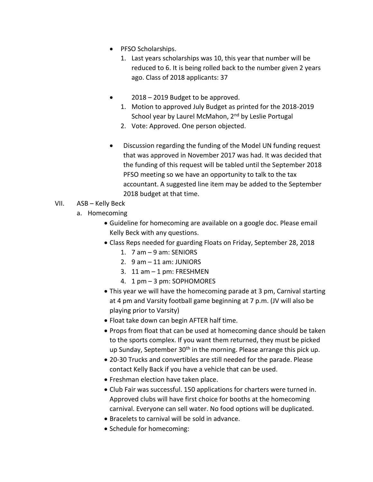- PFSO Scholarships.
	- 1. Last years scholarships was 10, this year that number will be reduced to 6. It is being rolled back to the number given 2 years ago. Class of 2018 applicants: 37
- 2018 2019 Budget to be approved.
	- 1. Motion to approved July Budget as printed for the 2018-2019 School year by Laurel McMahon, 2<sup>nd</sup> by Leslie Portugal
	- 2. Vote: Approved. One person objected.
- Discussion regarding the funding of the Model UN funding request that was approved in November 2017 was had. It was decided that the funding of this request will be tabled until the September 2018 PFSO meeting so we have an opportunity to talk to the tax accountant. A suggested line item may be added to the September 2018 budget at that time.

## VII. ASB – Kelly Beck

- a. Homecoming
	- Guideline for homecoming are available on a google doc. Please email Kelly Beck with any questions.
	- Class Reps needed for guarding Floats on Friday, September 28, 2018
		- 1. 7 am 9 am: SENIORS
		- 2.  $9$  am  $-11$  am: JUNIORS
		- 3. 11 am 1 pm: FRESHMEN
		- 4. 1 pm 3 pm: SOPHOMORES
	- This year we will have the homecoming parade at 3 pm, Carnival starting at 4 pm and Varsity football game beginning at 7 p.m. (JV will also be playing prior to Varsity)
	- Float take down can begin AFTER half time.
	- Props from float that can be used at homecoming dance should be taken to the sports complex. If you want them returned, they must be picked up Sunday, September  $30<sup>th</sup>$  in the morning. Please arrange this pick up.
	- 20-30 Trucks and convertibles are still needed for the parade. Please contact Kelly Back if you have a vehicle that can be used.
	- Freshman election have taken place.
	- Club Fair was successful. 150 applications for charters were turned in. Approved clubs will have first choice for booths at the homecoming carnival. Everyone can sell water. No food options will be duplicated.
	- Bracelets to carnival will be sold in advance.
	- Schedule for homecoming: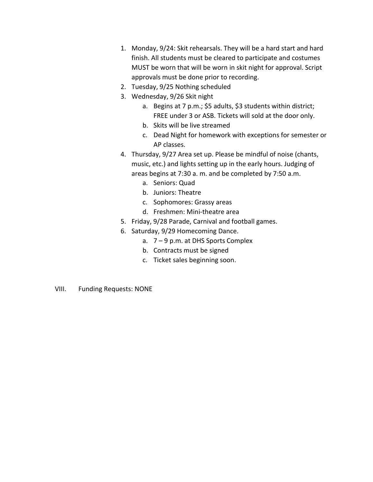- 1. Monday, 9/24: Skit rehearsals. They will be a hard start and hard finish. All students must be cleared to participate and costumes MUST be worn that will be worn in skit night for approval. Script approvals must be done prior to recording.
- 2. Tuesday, 9/25 Nothing scheduled
- 3. Wednesday, 9/26 Skit night
	- a. Begins at 7 p.m.; \$5 adults, \$3 students within district; FREE under 3 or ASB. Tickets will sold at the door only.
	- b. Skits will be live streamed
	- c. Dead Night for homework with exceptions for semester or AP classes.
- 4. Thursday, 9/27 Area set up. Please be mindful of noise (chants, music, etc.) and lights setting up in the early hours. Judging of areas begins at 7:30 a. m. and be completed by 7:50 a.m.
	- a. Seniors: Quad
	- b. Juniors: Theatre
	- c. Sophomores: Grassy areas
	- d. Freshmen: Mini-theatre area
- 5. Friday, 9/28 Parade, Carnival and football games.
- 6. Saturday, 9/29 Homecoming Dance.
	- a. 7 9 p.m. at DHS Sports Complex
	- b. Contracts must be signed
	- c. Ticket sales beginning soon.
- VIII. Funding Requests: NONE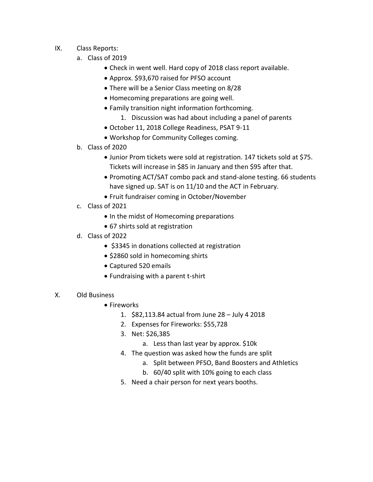- IX. Class Reports:
	- a. Class of 2019
		- Check in went well. Hard copy of 2018 class report available.
		- Approx. \$93,670 raised for PFSO account
		- There will be a Senior Class meeting on 8/28
		- Homecoming preparations are going well.
		- Family transition night information forthcoming.
			- 1. Discussion was had about including a panel of parents
		- October 11, 2018 College Readiness, PSAT 9-11
		- Workshop for Community Colleges coming.
	- b. Class of 2020
		- Junior Prom tickets were sold at registration. 147 tickets sold at \$75. Tickets will increase in \$85 in January and then \$95 after that.
		- Promoting ACT/SAT combo pack and stand-alone testing. 66 students have signed up. SAT is on 11/10 and the ACT in February.
		- Fruit fundraiser coming in October/November
	- c. Class of 2021
		- In the midst of Homecoming preparations
		- 67 shirts sold at registration
	- d. Class of 2022
		- \$3345 in donations collected at registration
		- \$2860 sold in homecoming shirts
		- Captured 520 emails
		- Fundraising with a parent t-shirt
- X. Old Business
	- Fireworks
		- 1. \$82,113.84 actual from June 28 July 4 2018
		- 2. Expenses for Fireworks: \$55,728
		- 3. Net: \$26,385
			- a. Less than last year by approx. \$10k
		- 4. The question was asked how the funds are split
			- a. Split between PFSO, Band Boosters and Athletics
			- b. 60/40 split with 10% going to each class
		- 5. Need a chair person for next years booths.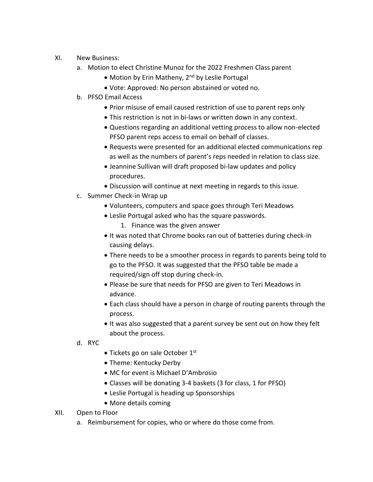- XI. New Business:
	- a. Motion to elect Christine Munoz for the 2022 Freshmen Class parent
		- Motion by Erin Matheny, 2<sup>nd</sup> by Leslie Portugal
		- Vote: Approved: No person abstained or voted no.
	- b. PFSO Email Access
		- Prior misuse of email caused restriction of use to parent reps only
		- This restriction is not in bi-laws or written down in any context.
		- Questions regarding an additional vetting process to allow non-elected PFSO parent reps access to email on behalf of classes.
		- Requests were presented for an additional elected communications rep as well as the numbers of parent's reps needed in relation to class size.
		- Jeannine Sullivan will draft proposed bi-law updates and policy procedures.
		- Discussion will continue at next meeting in regards to this issue.
	- c. Summer Check-in Wrap up
		- Volunteers, computers and space goes through Teri Meadows
		- Leslie Portugal asked who has the square passwords.
			- 1. Finance was the given answer
		- It was noted that Chrome books ran out of batteries during check-in causing delays.
		- There needs to be a smoother process in regards to parents being told to go to the PFSO. It was suggested that the PFSO table be made a required/sign off stop during check-in.
		- Please be sure that needs for PFSO are given to Teri Meadows in advance.
		- Each class should have a person in charge of routing parents through the process.
		- It was also suggested that a parent survey be sent out on how they felt about the process.
	- d. RYC
- $\bullet$  Tickets go on sale October 1st
- Theme: Kentucky Derby
- MC for event is Michael D'Ambrosio
- Classes will be donating 3-4 baskets (3 for class, 1 for PFSO)
- Leslie Portugal is heading up Sponsorships
- More details coming
- XII. Open to Floor
	- a. Reimbursement for copies, who or where do those come from.